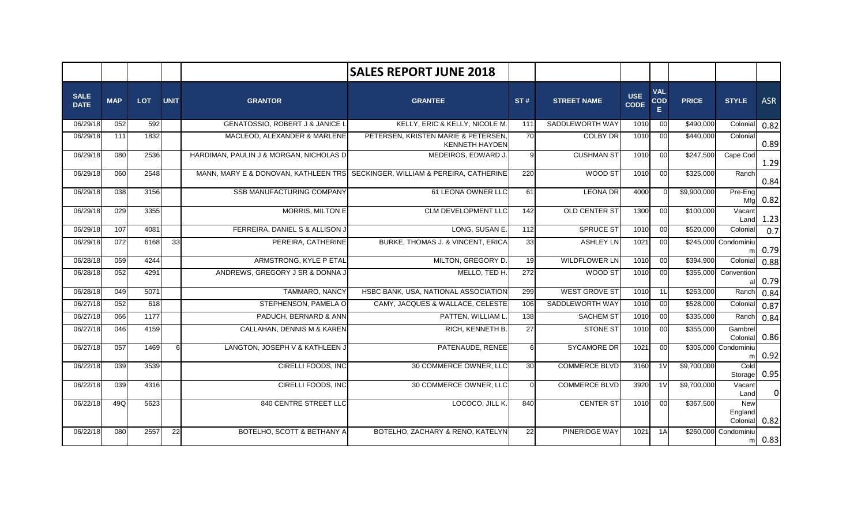|                            |            |      |             |                                            | <b>SALES REPORT JUNE 2018</b>                                                |              |                      |                           |                                |              |                            |            |
|----------------------------|------------|------|-------------|--------------------------------------------|------------------------------------------------------------------------------|--------------|----------------------|---------------------------|--------------------------------|--------------|----------------------------|------------|
| <b>SALE</b><br><b>DATE</b> | <b>MAP</b> | LOT  | <b>UNIT</b> | <b>GRANTOR</b>                             | <b>GRANTEE</b>                                                               | ST#          | <b>STREET NAME</b>   | <b>USE</b><br><b>CODE</b> | <b>VAL</b><br><b>COD</b><br>E. | <b>PRICE</b> | <b>STYLE</b>               | <b>ASR</b> |
| 06/29/18                   | 052        | 592  |             | <b>GENATOSSIO, ROBERT J &amp; JANICE L</b> | KELLY, ERIC & KELLY, NICOLE M.                                               | 111          | SADDLEWORTH WAY      | 1010                      | 00                             | \$490,000    | Colonial                   | 0.82       |
| 06/29/18                   | 111        | 1832 |             | MACLEOD, ALEXANDER & MARLENE               | PETERSEN, KRISTEN MARIE & PETERSEN,<br><b>KENNETH HAYDEN</b>                 | 70           | <b>COLBY DR</b>      | 1010                      | 00 <sup>1</sup>                | \$440,000    | Colonial                   | 0.89       |
| 06/29/18                   | 080        | 2536 |             | HARDIMAN, PAULIN J & MORGAN, NICHOLAS D    | MEDEIROS, EDWARD J.                                                          | $\mathbf{Q}$ | <b>CUSHMAN ST</b>    | 1010                      | 00 <sup>1</sup>                | \$247,500    | Cape Cod                   | 1.29       |
| 06/29/18                   | 060        | 2548 |             |                                            | MANN, MARY E & DONOVAN, KATHLEEN TRS SECKINGER, WILLIAM & PEREIRA, CATHERINE | 220          | WOOD ST              | 1010                      | 00                             | \$325,000    | Ranch                      | 0.84       |
| 06/29/18                   | 038        | 3156 |             | <b>SSB MANUFACTURING COMPANY</b>           | 61 LEONA OWNER LLC                                                           | 61           | <b>LEONA DR</b>      | 4000                      | $\Omega$                       | \$9,900,000  | Pre-Eng<br>Mfg             | 0.82       |
| 06/29/18                   | 029        | 3355 |             | MORRIS, MILTON E                           | <b>CLM DEVELOPMENT LLC</b>                                                   | 142          | OLD CENTER ST        | 1300                      | 00                             | \$100,000    | Vacant<br>Land             | 1.23       |
| 06/29/18                   | 107        | 4081 |             | FERREIRA, DANIEL S & ALLISON J             | LONG, SUSAN E.                                                               | 112          | <b>SPRUCE ST</b>     | 1010                      | 00 <sup>1</sup>                | \$520,000    | Colonial                   | 0.7        |
| 06/29/18                   | 072        | 6168 | 33          | PEREIRA, CATHERINE                         | BURKE, THOMAS J. & VINCENT, ERICA                                            | 33           | <b>ASHLEY LN</b>     | 1021                      | 00 <sup>1</sup>                |              | \$245,000 Condominiu       | 0.79       |
| 06/28/18                   | 059        | 4244 |             | ARMSTRONG, KYLE P ETAL                     | MILTON, GREGORY D.                                                           | 19           | <b>WILDFLOWER LN</b> | 1010                      | 00 <sup>1</sup>                | \$394.900    | Colonial                   | 0.88       |
| 06/28/18                   | 052        | 4291 |             | ANDREWS, GREGORY J SR & DONNA J            | MELLO. TED H.                                                                | 272          | WOOD ST              | 1010                      | $\overline{00}$                | \$355,000    | Convention                 | 0.79       |
| 06/28/18                   | 049        | 5071 |             | <b>TAMMARO, NANCY</b>                      | HSBC BANK, USA, NATIONAL ASSOCIATION                                         | 299          | <b>WEST GROVE ST</b> | 1010                      | 1 <sup>L</sup>                 | \$263,000    | Ranch                      | 0.84       |
| 06/27/18                   | 052        | 618  |             | STEPHENSON, PAMELA O                       | CAMY, JACQUES & WALLACE, CELESTE                                             | 106          | SADDLEWORTH WAY      | 1010                      | 00                             | \$528,000    | Colonial                   | 0.87       |
| 06/27/18                   | 066        | 1177 |             | PADUCH, BERNARD & ANN                      | PATTEN, WILLIAM L.                                                           | 138          | <b>SACHEM ST</b>     | 1010                      | 00 <sup>1</sup>                | \$335,000    | Ranch                      | 0.84       |
| 06/27/18                   | 046        | 4159 |             | CALLAHAN, DENNIS M & KAREN                 | RICH, KENNETH B.                                                             | 27           | <b>STONE ST</b>      | 1010                      | 00 <sup>1</sup>                | \$355,000    | Gambrel<br>Colonial        | 0.86       |
| 06/27/18                   | 057        | 1469 | 6           | LANGTON, JOSEPH V & KATHLEEN J             | PATENAUDE, RENEE                                                             | 6            | <b>SYCAMORE DR</b>   | 1021                      | 00 <sup>1</sup>                |              | \$305,000 Condominiu<br>m  | 0.92       |
| 06/22/18                   | 039        | 3539 |             | CIRELLI FOODS, INC                         | 30 COMMERCE OWNER, LLC                                                       | 30           | <b>COMMERCE BLVD</b> | 3160                      | 1 <sub>V</sub>                 | \$9,700,000  | Cold<br>Storage            | 0.95       |
| 06/22/18                   | 039        | 4316 |             | <b>CIRELLI FOODS, INC</b>                  | 30 COMMERCE OWNER, LLC                                                       | $\Omega$     | <b>COMMERCE BLVD</b> | 3920                      | 1 <sup>V</sup>                 | \$9,700,000  | Vacant<br>Land             | $\Omega$   |
| 06/22/18                   | 49Q        | 5623 |             | 840 CENTRE STREET LLC                      | LOCOCO, JILL K.                                                              | 840          | <b>CENTER ST</b>     | 1010                      | 00 <sup>1</sup>                | \$367,500    | New<br>England<br>Colonial | 0.82       |
| 06/22/18                   | 080        | 2557 | 22          | BOTELHO, SCOTT & BETHANY A                 | BOTELHO, ZACHARY & RENO, KATELYN                                             | 22           | <b>PINERIDGE WAY</b> | 1021                      | 1A                             |              | \$260,000 Condominiu<br>m  | 0.83       |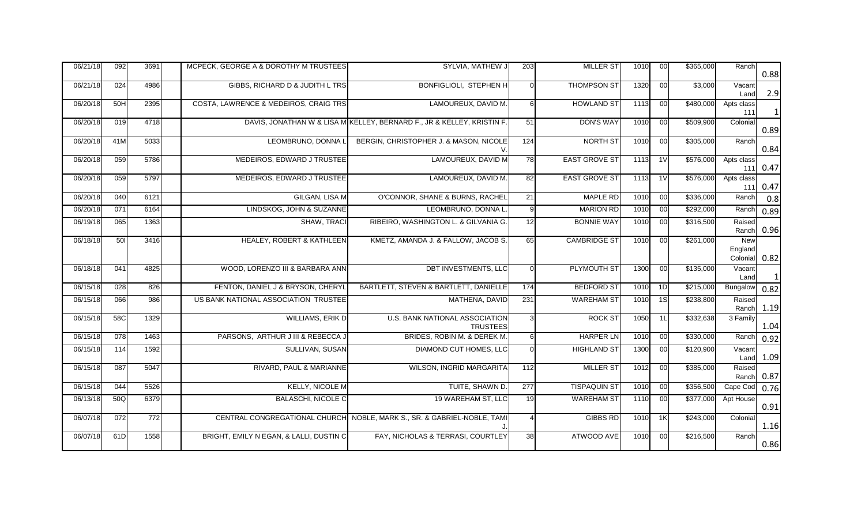| 06/21/18 | 092              | 3691 | MCPECK, GEORGE A & DOROTHY M TRUSTEES   | SYLVIA, MATHEW J                                                        | 203              | <b>MILLER ST</b>     | 1010 | 00              | \$365,000 | Ranch                             | 0.88         |
|----------|------------------|------|-----------------------------------------|-------------------------------------------------------------------------|------------------|----------------------|------|-----------------|-----------|-----------------------------------|--------------|
| 06/21/18 | 024              | 4986 | GIBBS, RICHARD D & JUDITH L TRS         | <b>BONFIGLIOLI, STEPHEN H</b>                                           |                  | <b>THOMPSON ST</b>   | 1320 | 00              | \$3,000   | Vacant<br>Land                    | 2.9          |
| 06/20/18 | 50H              | 2395 | COSTA, LAWRENCE & MEDEIROS, CRAIG TRS   | LAMOUREUX, DAVID M.                                                     |                  | <b>HOWLAND ST</b>    | 1113 | 00              | \$480,000 | Apts class<br>111                 | $\mathbf{1}$ |
| 06/20/18 | 019              | 4718 |                                         | DAVIS, JONATHAN W & LISA M KELLEY, BERNARD F., JR & KELLEY, KRISTIN F.  | 51               | <b>DON'S WAY</b>     | 1010 | 00              | \$509,900 | Colonial                          | 0.89         |
| 06/20/18 | 41M              | 5033 | LEOMBRUNO, DONNA L                      | BERGIN, CHRISTOPHER J. & MASON, NICOLE                                  | 124              | NORTH ST             | 1010 | 00              | \$305,000 | Ranch                             | 0.84         |
| 06/20/18 | $\overline{059}$ | 5786 | MEDEIROS, EDWARD J TRUSTEE              | LAMOUREUX, DAVID M                                                      | 78               | <b>EAST GROVE ST</b> | 1113 | $\overline{1V}$ | \$576,000 | Apts class<br>111                 | 0.47         |
| 06/20/18 | 059              | 5797 | MEDEIROS, EDWARD J TRUSTEE              | LAMOUREUX, DAVID M.                                                     | 82               | <b>EAST GROVE ST</b> | 1113 | $\overline{11}$ | \$576,000 | Apts class<br>111                 | 0.47         |
| 06/20/18 | 040              | 6121 | <b>GILGAN, LISA M</b>                   | O'CONNOR, SHANE & BURNS, RACHEL                                         | 21               | <b>MAPLE RD</b>      | 1010 | 00              | \$336,000 | Ranch                             | 0.8          |
| 06/20/18 | 071              | 6164 | LINDSKOG, JOHN & SUZANNE                | LEOMBRUNO, DONNA L                                                      | a                | <b>MARION RD</b>     | 1010 | 00              | \$292,000 | Ranch                             | 0.89         |
| 06/19/18 | 065              | 1363 | SHAW, TRACI                             | RIBEIRO, WASHINGTON L. & GILVANIA G.                                    | 12               | <b>BONNIE WAY</b>    | 1010 | 00              | \$316,500 | Raised<br>Ranch                   | 0.96         |
| 06/18/18 | 501              | 3416 | HEALEY, ROBERT & KATHLEEN               | KMETZ, AMANDA J. & FALLOW, JACOB S.                                     | 65               | <b>CAMBRIDGE ST</b>  | 1010 | 00              | \$261,000 | <b>New</b><br>England<br>Colonial | 0.82         |
| 06/18/18 | 041              | 4825 | WOOD, LORENZO III & BARBARA ANN         | <b>DBT INVESTMENTS, LLC</b>                                             |                  | <b>PLYMOUTH ST</b>   | 1300 | 00              | \$135,000 | Vacant<br>Land                    | $\mathbf{1}$ |
| 06/15/18 | 028              | 826  | FENTON, DANIEL J & BRYSON, CHERYL       | BARTLETT, STEVEN & BARTLETT, DANIELLE                                   | 174              | <b>BEDFORD ST</b>    | 1010 | 1D              | \$215,000 | Bungalow                          | 0.82         |
| 06/15/18 | 066              | 986  | US BANK NATIONAL ASSOCIATION TRUSTEE    | MATHENA, DAVID                                                          | $\overline{231}$ | <b>WAREHAM ST</b>    | 1010 | 1S              | \$238,800 | Raised<br>Ranch                   | 1.19         |
| 06/15/18 | 58C              | 1329 | WILLIAMS, ERIK D                        | U.S. BANK NATIONAL ASSOCIATION<br><b>TRUSTEES</b>                       |                  | <b>ROCK ST</b>       | 1050 | 1L              | \$332,638 | 3 Family                          | 1.04         |
| 06/15/18 | 078              | 1463 | PARSONS, ARTHUR J III & REBECCA J       | BRIDES, ROBIN M. & DEREK M.                                             | 6                | <b>HARPER LN</b>     | 1010 | 00              | \$330,000 | Ranch                             | 0.92         |
| 06/15/18 | 114              | 1592 | SULLIVAN, SUSAN                         | DIAMOND CUT HOMES, LLC                                                  |                  | <b>HIGHLAND ST</b>   | 1300 | 00              | \$120,900 | Vacant<br>Land                    | 1.09         |
| 06/15/18 | $\overline{087}$ | 5047 | RIVARD, PAUL & MARIANNE                 | <b>WILSON, INGRID MARGARITA</b>                                         | 112              | <b>MILLER ST</b>     | 1012 | 00              | \$385,000 | Raised<br>Ranch                   | 0.87         |
| 06/15/18 | 044              | 5526 | <b>KELLY, NICOLE M</b>                  | TUITE, SHAWN D.                                                         | 277              | <b>TISPAQUIN ST</b>  | 1010 | 00              | \$356,500 | Cape Cod                          | 0.76         |
| 06/13/18 | 50Q              | 6379 | <b>BALASCHI, NICOLE C</b>               | 19 WAREHAM ST, LLC                                                      | 19               | <b>WAREHAM ST</b>    | 1110 | 00              | \$377,000 | Apt House                         | 0.91         |
| 06/07/18 | 072              | 772  |                                         | CENTRAL CONGREGATIONAL CHURCH NOBLE, MARK S., SR. & GABRIEL-NOBLE, TAMI |                  | <b>GIBBS RD</b>      | 1010 | 1K              | \$243,000 | Colonial                          | 1.16         |
| 06/07/18 | 61D              | 1558 | BRIGHT, EMILY N EGAN, & LALLI, DUSTIN C | FAY, NICHOLAS & TERRASI, COURTLEY                                       | $\overline{38}$  | ATWOOD AVE           | 1010 | 00              | \$216,500 | Ranch                             | 0.86         |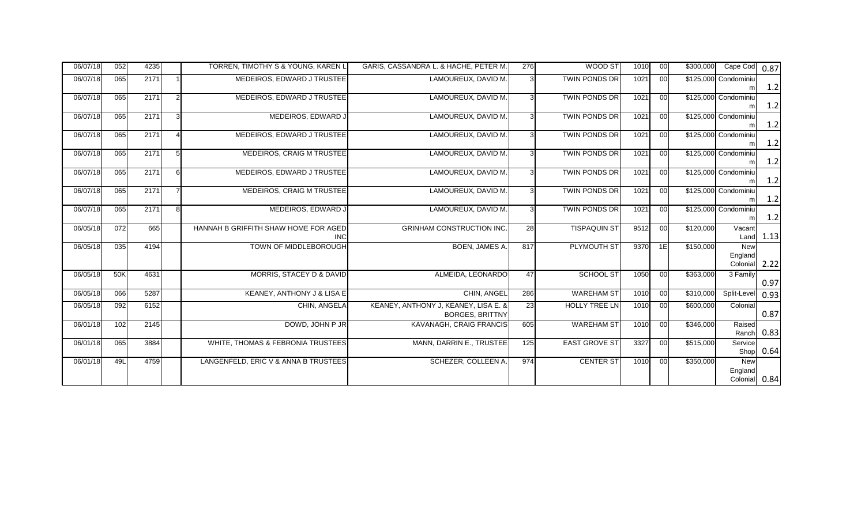| 06/07/18 | 052              | 4235 |                       | TORREN, TIMOTHY S & YOUNG, KAREN L                 | GARIS, CASSANDRA L. & HACHE, PETER M.                          | 276 | WOOD ST              | 1010 | 00 | \$300,000 | Cape Cod 0.87                          |             |
|----------|------------------|------|-----------------------|----------------------------------------------------|----------------------------------------------------------------|-----|----------------------|------|----|-----------|----------------------------------------|-------------|
| 06/07/18 | 065              | 2171 | -1                    | MEDEIROS, EDWARD J TRUSTEE                         | LAMOUREUX, DAVID M.                                            |     | <b>TWIN PONDS DR</b> | 1021 | 00 |           | \$125,000 Condominiu<br>m              | 1.2         |
| 06/07/18 | 065              | 2171 | $\overline{2}$        | MEDEIROS, EDWARD J TRUSTEE                         | LAMOUREUX, DAVID M.                                            |     | <b>TWIN PONDS DR</b> | 1021 | 00 |           | \$125,000 Condominiu<br>m              | 1.2         |
| 06/07/18 | 065              | 2171 | $\mathbf{3}$          | MEDEIROS, EDWARD J                                 | LAMOUREUX, DAVID M.                                            |     | <b>TWIN PONDS DR</b> | 1021 | 00 |           | \$125,000 Condominiu                   | 1.2         |
| 06/07/18 | 065              | 2171 | $\boldsymbol{\Delta}$ | MEDEIROS, EDWARD J TRUSTEE                         | LAMOUREUX, DAVID M.                                            |     | <b>TWIN PONDS DR</b> | 1021 | 00 |           | \$125,000 Condominiu<br>m              | 1.2         |
| 06/07/18 | 065              | 2171 | 5                     | MEDEIROS, CRAIG M TRUSTEE                          | LAMOUREUX, DAVID M.                                            |     | <b>TWIN PONDS DR</b> | 1021 | 00 |           | \$125,000 Condominiu<br>m              | 1.2         |
| 06/07/18 | 065              | 2171 | 6                     | MEDEIROS, EDWARD J TRUSTEE                         | LAMOUREUX, DAVID M.                                            |     | <b>TWIN PONDS DR</b> | 1021 | 00 |           | \$125,000 Condominiu<br>m              | 1.2         |
| 06/07/18 | 065              | 2171 | $\overline{7}$        | <b>MEDEIROS, CRAIG M TRUSTEE</b>                   | LAMOUREUX, DAVID M.                                            |     | <b>TWIN PONDS DR</b> | 1021 | 00 |           | \$125,000 Condominiu<br>m              | 1.2         |
| 06/07/18 | 065              | 2171 | 8                     | MEDEIROS, EDWARD J                                 | LAMOUREUX, DAVID M.                                            |     | <b>TWIN PONDS DR</b> | 1021 | 00 |           | \$125,000 Condominiu<br>m              | 1.2         |
| 06/05/18 | 072              | 665  |                       | HANNAH B GRIFFITH SHAW HOME FOR AGED<br><b>INC</b> | <b>GRINHAM CONSTRUCTION INC.</b>                               | 28  | <b>TISPAQUIN ST</b>  | 9512 | 00 | \$120,000 | Vacant                                 | Land 1.13   |
| 06/05/18 | 035              | 4194 |                       | TOWN OF MIDDLEBOROUGH                              | BOEN, JAMES A.                                                 | 817 | <b>PLYMOUTH ST</b>   | 9370 | 1E | \$150,000 | <b>New</b><br>England<br>Colonial      | 2.22        |
| 06/05/18 | 50K              | 4631 |                       | MORRIS, STACEY D & DAVID                           | ALMEIDA, LEONARDO                                              | 47  | SCHOOL ST            | 1050 | 00 | \$363,000 | 3 Family                               | 0.97        |
| 06/05/18 | 066              | 5287 |                       | KEANEY, ANTHONY J & LISA E                         | CHIN, ANGEL                                                    | 286 | <b>WAREHAM ST</b>    | 1010 | 00 | \$310,000 | Split-Level                            | 0.93        |
| 06/05/18 | 092              | 6152 |                       | CHIN. ANGELA                                       | KEANEY, ANTHONY J, KEANEY, LISA E. &<br><b>BORGES, BRITTNY</b> | 23  | HOLLY TREE LN        | 1010 | 00 | \$600,000 | Colonial                               | 0.87        |
| 06/01/18 | 102              | 2145 |                       | DOWD, JOHN P JR                                    | KAVANAGH, CRAIG FRANCIS                                        | 605 | <b>WAREHAM ST</b>    | 1010 | 00 | \$346,000 | Raised<br>Ranch                        | 0.83        |
| 06/01/18 | $\overline{065}$ | 3884 |                       | WHITE, THOMAS & FEBRONIA TRUSTEES                  | MANN, DARRIN E., TRUSTEE                                       | 125 | <b>EAST GROVE ST</b> | 3327 | 00 | \$515,000 | Service                                | Shop $0.64$ |
| 06/01/18 | 49L              | 4759 |                       | LANGENFELD, ERIC V & ANNA B TRUSTEES               | SCHEZER, COLLEEN A.                                            | 974 | <b>CENTER ST</b>     | 1010 | 00 | \$350,000 | <b>New</b><br>England<br>Colonial 0.84 |             |